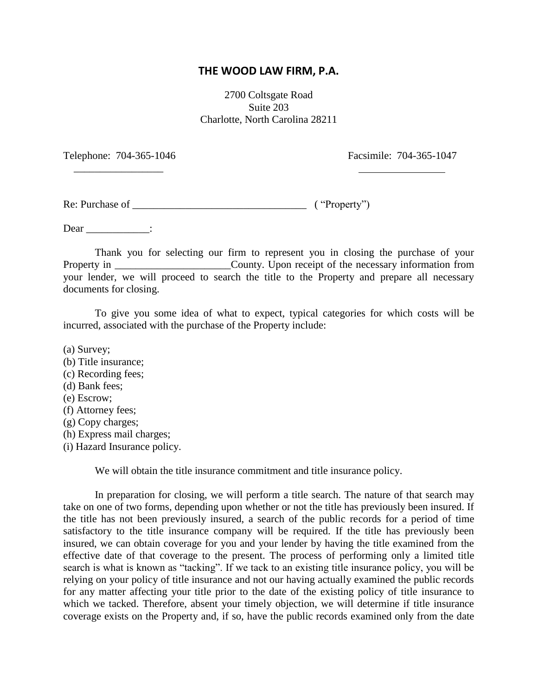## **THE WOOD LAW FIRM, P.A.**

2700 Coltsgate Road Suite 203 Charlotte, North Carolina 28211

Telephone: 704-365-1046 Facsimile: 704-365-1047

Re: Purchase of \_\_\_\_\_\_\_\_\_\_\_\_\_\_\_\_\_\_\_\_\_\_\_\_\_\_\_\_\_\_\_\_\_ ( "Property")

 $\frac{1}{2}$  ,  $\frac{1}{2}$  ,  $\frac{1}{2}$  ,  $\frac{1}{2}$  ,  $\frac{1}{2}$  ,  $\frac{1}{2}$  ,  $\frac{1}{2}$  ,  $\frac{1}{2}$  ,  $\frac{1}{2}$  ,  $\frac{1}{2}$  ,  $\frac{1}{2}$  ,  $\frac{1}{2}$  ,  $\frac{1}{2}$  ,  $\frac{1}{2}$  ,  $\frac{1}{2}$  ,  $\frac{1}{2}$  ,  $\frac{1}{2}$  ,  $\frac{1}{2}$  ,  $\frac{1$ 

Dear  $\qquad$  :

Thank you for selecting our firm to represent you in closing the purchase of your Property in \_\_\_\_\_\_\_\_\_\_\_\_\_\_\_\_\_\_\_\_\_\_\_\_\_\_County. Upon receipt of the necessary information from your lender, we will proceed to search the title to the Property and prepare all necessary documents for closing.

To give you some idea of what to expect, typical categories for which costs will be incurred, associated with the purchase of the Property include:

(a) Survey;

- (b) Title insurance;
- (c) Recording fees;
- (d) Bank fees;
- (e) Escrow;
- (f) Attorney fees;
- (g) Copy charges;
- (h) Express mail charges;
- (i) Hazard Insurance policy.

We will obtain the title insurance commitment and title insurance policy.

In preparation for closing, we will perform a title search. The nature of that search may take on one of two forms, depending upon whether or not the title has previously been insured. If the title has not been previously insured, a search of the public records for a period of time satisfactory to the title insurance company will be required. If the title has previously been insured, we can obtain coverage for you and your lender by having the title examined from the effective date of that coverage to the present. The process of performing only a limited title search is what is known as "tacking". If we tack to an existing title insurance policy, you will be relying on your policy of title insurance and not our having actually examined the public records for any matter affecting your title prior to the date of the existing policy of title insurance to which we tacked. Therefore, absent your timely objection, we will determine if title insurance coverage exists on the Property and, if so, have the public records examined only from the date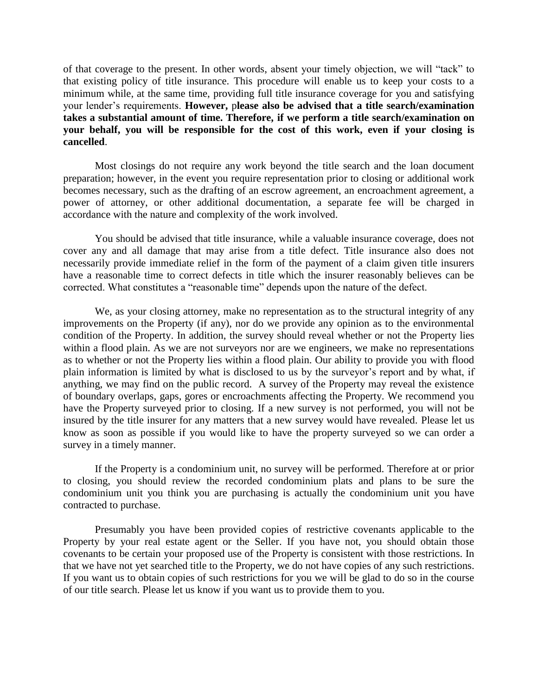of that coverage to the present. In other words, absent your timely objection, we will "tack" to that existing policy of title insurance. This procedure will enable us to keep your costs to a minimum while, at the same time, providing full title insurance coverage for you and satisfying your lender's requirements. **However,** p**lease also be advised that a title search/examination takes a substantial amount of time. Therefore, if we perform a title search/examination on your behalf, you will be responsible for the cost of this work, even if your closing is cancelled**.

Most closings do not require any work beyond the title search and the loan document preparation; however, in the event you require representation prior to closing or additional work becomes necessary, such as the drafting of an escrow agreement, an encroachment agreement, a power of attorney, or other additional documentation, a separate fee will be charged in accordance with the nature and complexity of the work involved.

You should be advised that title insurance, while a valuable insurance coverage, does not cover any and all damage that may arise from a title defect. Title insurance also does not necessarily provide immediate relief in the form of the payment of a claim given title insurers have a reasonable time to correct defects in title which the insurer reasonably believes can be corrected. What constitutes a "reasonable time" depends upon the nature of the defect.

We, as your closing attorney, make no representation as to the structural integrity of any improvements on the Property (if any), nor do we provide any opinion as to the environmental condition of the Property. In addition, the survey should reveal whether or not the Property lies within a flood plain. As we are not surveyors nor are we engineers, we make no representations as to whether or not the Property lies within a flood plain. Our ability to provide you with flood plain information is limited by what is disclosed to us by the surveyor's report and by what, if anything, we may find on the public record. A survey of the Property may reveal the existence of boundary overlaps, gaps, gores or encroachments affecting the Property. We recommend you have the Property surveyed prior to closing. If a new survey is not performed, you will not be insured by the title insurer for any matters that a new survey would have revealed. Please let us know as soon as possible if you would like to have the property surveyed so we can order a survey in a timely manner.

If the Property is a condominium unit, no survey will be performed. Therefore at or prior to closing, you should review the recorded condominium plats and plans to be sure the condominium unit you think you are purchasing is actually the condominium unit you have contracted to purchase.

Presumably you have been provided copies of restrictive covenants applicable to the Property by your real estate agent or the Seller. If you have not, you should obtain those covenants to be certain your proposed use of the Property is consistent with those restrictions. In that we have not yet searched title to the Property, we do not have copies of any such restrictions. If you want us to obtain copies of such restrictions for you we will be glad to do so in the course of our title search. Please let us know if you want us to provide them to you.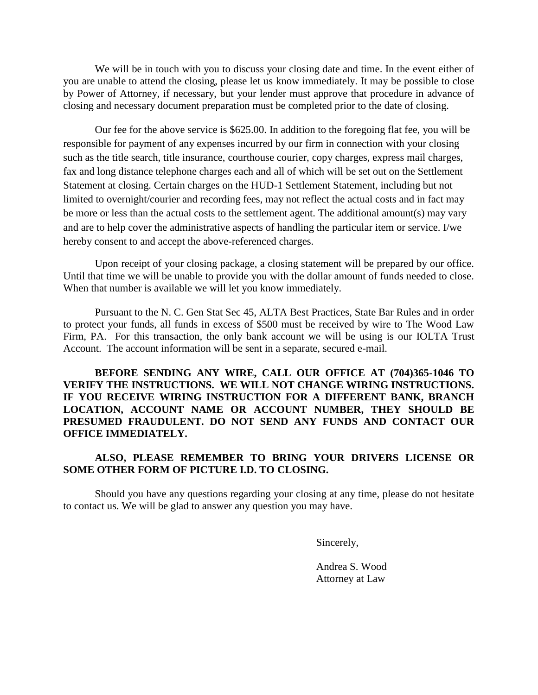We will be in touch with you to discuss your closing date and time. In the event either of you are unable to attend the closing, please let us know immediately. It may be possible to close by Power of Attorney, if necessary, but your lender must approve that procedure in advance of closing and necessary document preparation must be completed prior to the date of closing.

Our fee for the above service is \$625.00. In addition to the foregoing flat fee, you will be responsible for payment of any expenses incurred by our firm in connection with your closing such as the title search, title insurance, courthouse courier, copy charges, express mail charges, fax and long distance telephone charges each and all of which will be set out on the Settlement Statement at closing. Certain charges on the HUD-1 Settlement Statement, including but not limited to overnight/courier and recording fees, may not reflect the actual costs and in fact may be more or less than the actual costs to the settlement agent. The additional amount(s) may vary and are to help cover the administrative aspects of handling the particular item or service. I/we hereby consent to and accept the above-referenced charges.

Upon receipt of your closing package, a closing statement will be prepared by our office. Until that time we will be unable to provide you with the dollar amount of funds needed to close. When that number is available we will let you know immediately.

Pursuant to the N. C. Gen Stat Sec 45, ALTA Best Practices, State Bar Rules and in order to protect your funds, all funds in excess of \$500 must be received by wire to The Wood Law Firm, PA. For this transaction, the only bank account we will be using is our IOLTA Trust Account. The account information will be sent in a separate, secured e-mail.

**BEFORE SENDING ANY WIRE, CALL OUR OFFICE AT (704)365-1046 TO VERIFY THE INSTRUCTIONS. WE WILL NOT CHANGE WIRING INSTRUCTIONS. IF YOU RECEIVE WIRING INSTRUCTION FOR A DIFFERENT BANK, BRANCH LOCATION, ACCOUNT NAME OR ACCOUNT NUMBER, THEY SHOULD BE PRESUMED FRAUDULENT. DO NOT SEND ANY FUNDS AND CONTACT OUR OFFICE IMMEDIATELY.**

## **ALSO, PLEASE REMEMBER TO BRING YOUR DRIVERS LICENSE OR SOME OTHER FORM OF PICTURE I.D. TO CLOSING.**

Should you have any questions regarding your closing at any time, please do not hesitate to contact us. We will be glad to answer any question you may have.

Sincerely,

Andrea S. Wood Attorney at Law